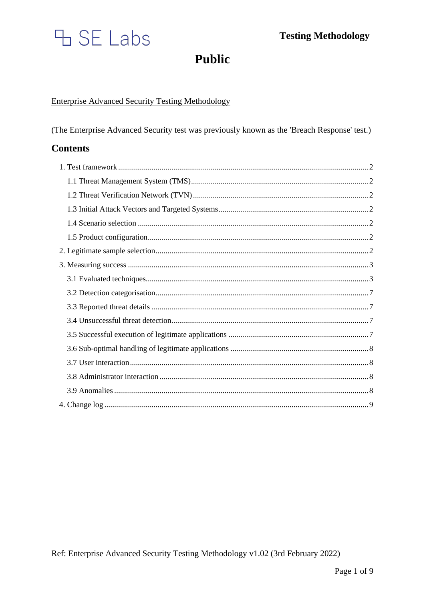# H SE Labs

**Public** 

# **Enterprise Advanced Security Testing Methodology**

(The Enterprise Advanced Security test was previously known as the 'Breach Response' test.)

# **Contents**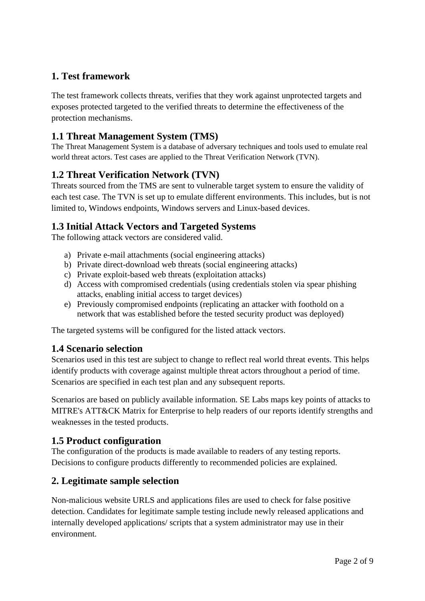# <span id="page-1-0"></span>**1. Test framework**

The test framework collects threats, verifies that they work against unprotected targets and exposes protected targeted to the verified threats to determine the effectiveness of the protection mechanisms.

# <span id="page-1-1"></span>**1.1 Threat Management System (TMS)**

The Threat Management System is a database of adversary techniques and tools used to emulate real world threat actors. Test cases are applied to the Threat Verification Network (TVN).

# <span id="page-1-2"></span>**1.2 Threat Verification Network (TVN)**

Threats sourced from the TMS are sent to vulnerable target system to ensure the validity of each test case. The TVN is set up to emulate different environments. This includes, but is not limited to, Windows endpoints, Windows servers and Linux-based devices.

# <span id="page-1-3"></span>**1.3 Initial Attack Vectors and Targeted Systems**

The following attack vectors are considered valid.

- a) Private e-mail attachments (social engineering attacks)
- b) Private direct-download web threats (social engineering attacks)
- c) Private exploit-based web threats (exploitation attacks)
- d) Access with compromised credentials (using credentials stolen via spear phishing attacks, enabling initial access to target devices)
- e) Previously compromised endpoints (replicating an attacker with foothold on a network that was established before the tested security product was deployed)

The targeted systems will be configured for the listed attack vectors.

## <span id="page-1-4"></span>**1.4 Scenario selection**

Scenarios used in this test are subject to change to reflect real world threat events. This helps identify products with coverage against multiple threat actors throughout a period of time. Scenarios are specified in each test plan and any subsequent reports.

Scenarios are based on publicly available information. SE Labs maps key points of attacks to MITRE's ATT&CK Matrix for Enterprise to help readers of our reports identify strengths and weaknesses in the tested products.

## <span id="page-1-5"></span>**1.5 Product configuration**

The configuration of the products is made available to readers of any testing reports. Decisions to configure products differently to recommended policies are explained.

## <span id="page-1-6"></span>**2. Legitimate sample selection**

Non-malicious website URLS and applications files are used to check for false positive detection. Candidates for legitimate sample testing include newly released applications and internally developed applications/ scripts that a system administrator may use in their environment.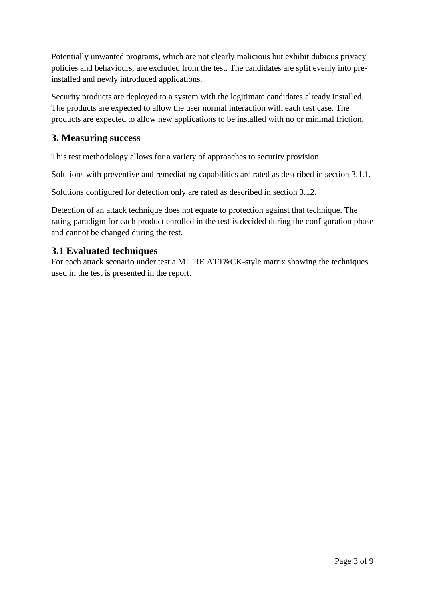Potentially unwanted programs, which are not clearly malicious but exhibit dubious privacy policies and behaviours, are excluded from the test. The candidates are split evenly into preinstalled and newly introduced applications.

Security products are deployed to a system with the legitimate candidates already installed. The products are expected to allow the user normal interaction with each test case. The products are expected to allow new applications to be installed with no or minimal friction.

# <span id="page-2-0"></span>**3. Measuring success**

This test methodology allows for a variety of approaches to security provision.

Solutions with preventive and remediating capabilities are rated as described in section 3.1.1.

Solutions configured for detection only are rated as described in section 3.12.

Detection of an attack technique does not equate to protection against that technique. The rating paradigm for each product enrolled in the test is decided during the configuration phase and cannot be changed during the test.

## <span id="page-2-1"></span>**3.1 Evaluated techniques**

For each attack scenario under test a MITRE ATT&CK-style matrix showing the techniques used in the test is presented in the report.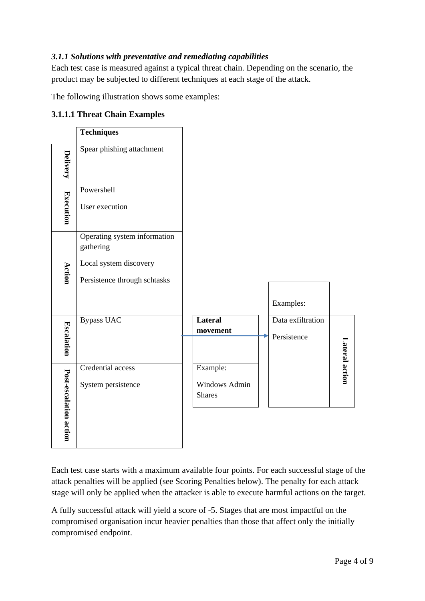## *3.1.1 Solutions with preventative and remediating capabilities*

Each test case is measured against a typical threat chain. Depending on the scenario, the product may be subjected to different techniques at each stage of the attack.

The following illustration shows some examples:

|                        | <b>Techniques</b>                                                                                   |                                            |                                  |                |
|------------------------|-----------------------------------------------------------------------------------------------------|--------------------------------------------|----------------------------------|----------------|
| <b>Delivery</b>        | Spear phishing attachment                                                                           |                                            |                                  |                |
| <b>Execution</b>       | Powershell<br>User execution                                                                        |                                            |                                  |                |
| Action                 | Operating system information<br>gathering<br>Local system discovery<br>Persistence through schtasks |                                            | Examples:                        |                |
| <b>Escalation</b>      | <b>Bypass UAC</b>                                                                                   | Lateral<br>movement                        | Data exfiltration<br>Persistence | Lateral action |
| Post-escalation action | Credential access<br>System persistence                                                             | Example:<br>Windows Admin<br><b>Shares</b> |                                  |                |

## **3.1.1.1 Threat Chain Examples**

Each test case starts with a maximum available four points. For each successful stage of the attack penalties will be applied (see Scoring Penalties below). The penalty for each attack stage will only be applied when the attacker is able to execute harmful actions on the target.

A fully successful attack will yield a score of -5. Stages that are most impactful on the compromised organisation incur heavier penalties than those that affect only the initially compromised endpoint.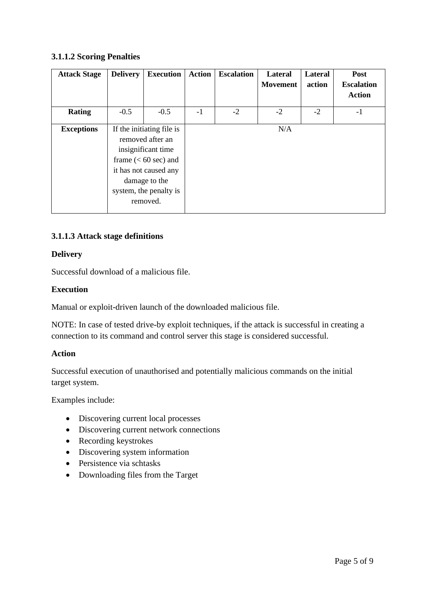#### **3.1.1.2 Scoring Penalties**

| <b>Attack Stage</b> | <b>Delivery</b>                                                                                                                                                               | <b>Execution</b> | <b>Action</b> | <b>Escalation</b> | Lateral<br><b>Movement</b> | <b>Lateral</b><br>action | Post<br><b>Escalation</b><br><b>Action</b> |
|---------------------|-------------------------------------------------------------------------------------------------------------------------------------------------------------------------------|------------------|---------------|-------------------|----------------------------|--------------------------|--------------------------------------------|
| Rating              | $-0.5$                                                                                                                                                                        | $-0.5$           | $-1$          | $-2$              | $-2$                       | $-2$                     | $-1$                                       |
| <b>Exceptions</b>   | If the initiating file is<br>removed after an<br>insignificant time<br>frame $(< 60$ sec) and<br>it has not caused any<br>damage to the<br>system, the penalty is<br>removed. |                  |               |                   | N/A                        |                          |                                            |

## **3.1.1.3 Attack stage definitions**

#### **Delivery**

Successful download of a malicious file.

#### **Execution**

Manual or exploit-driven launch of the downloaded malicious file.

NOTE: In case of tested drive-by exploit techniques, if the attack is successful in creating a connection to its command and control server this stage is considered successful.

#### **Action**

Successful execution of unauthorised and potentially malicious commands on the initial target system.

Examples include:

- Discovering current local processes
- Discovering current network connections
- Recording keystrokes
- Discovering system information
- Persistence via schtasks
- Downloading files from the Target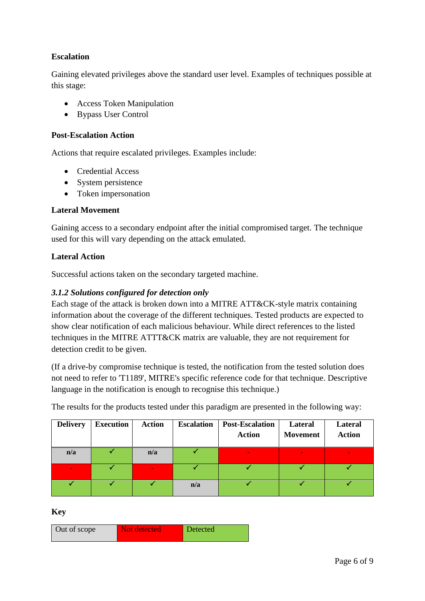## **Escalation**

Gaining elevated privileges above the standard user level. Examples of techniques possible at this stage:

- Access Token Manipulation
- Bypass User Control

#### **Post-Escalation Action**

Actions that require escalated privileges. Examples include:

- Credential Access
- System persistence
- Token impersonation

#### **Lateral Movement**

Gaining access to a secondary endpoint after the initial compromised target. The technique used for this will vary depending on the attack emulated.

#### **Lateral Action**

Successful actions taken on the secondary targeted machine.

#### *3.1.2 Solutions configured for detection only*

Each stage of the attack is broken down into a MITRE ATT&CK-style matrix containing information about the coverage of the different techniques. Tested products are expected to show clear notification of each malicious behaviour. While direct references to the listed techniques in the MITRE ATTT&CK matrix are valuable, they are not requirement for detection credit to be given.

(If a drive-by compromise technique is tested, the notification from the tested solution does not need to refer to 'T1189', MITRE's specific reference code for that technique. Descriptive language in the notification is enough to recognise this technique.)

The results for the products tested under this paradigm are presented in the following way:

| <b>Delivery</b> | <b>Execution</b> | <b>Action</b> | <b>Escalation</b> | <b>Post-Escalation</b><br><b>Action</b> | Lateral<br><b>Movement</b> | <b>Lateral</b><br><b>Action</b> |
|-----------------|------------------|---------------|-------------------|-----------------------------------------|----------------------------|---------------------------------|
| n/a             |                  | n/a           |                   | $\sim$                                  |                            |                                 |
|                 |                  |               |                   |                                         |                            |                                 |
|                 |                  |               | n/a               |                                         |                            |                                 |

**Key**

| Out of scope | Not detected | Detected |
|--------------|--------------|----------|
|              |              |          |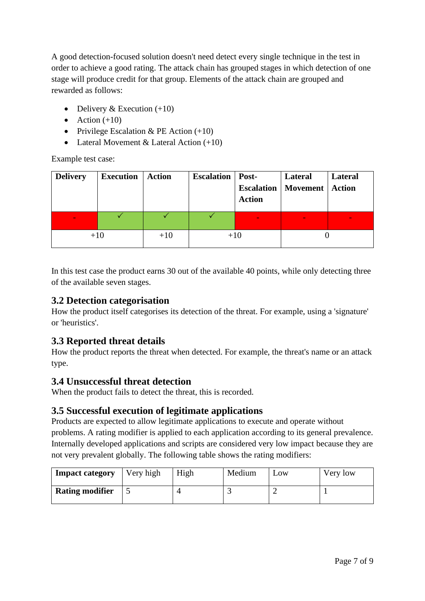<span id="page-6-0"></span>A good detection-focused solution doesn't need detect every single technique in the test in order to achieve a good rating. The attack chain has grouped stages in which detection of one stage will produce credit for that group. Elements of the attack chain are grouped and rewarded as follows:

- Delivery & Execution  $(+10)$
- Action  $(+10)$
- Privilege Escalation & PE Action  $(+10)$
- Lateral Movement & Lateral Action  $(+10)$

Example test case:

| <b>Delivery</b> | <b>Execution</b> | <b>Action</b> | <b>Escalation</b>   Post- | <b>Escalation</b><br><b>Action</b> | Lateral<br>Movement   Action | Lateral |
|-----------------|------------------|---------------|---------------------------|------------------------------------|------------------------------|---------|
|                 |                  |               |                           |                                    |                              |         |
| $+10$           |                  | $+10$         |                           | $+10$                              |                              |         |

In this test case the product earns 30 out of the available 40 points, while only detecting three of the available seven stages.

## **3.2 Detection categorisation**

How the product itself categorises its detection of the threat. For example, using a 'signature' or 'heuristics'.

# <span id="page-6-1"></span>**3.3 Reported threat details**

How the product reports the threat when detected. For example, the threat's name or an attack type.

## <span id="page-6-2"></span>**3.4 Unsuccessful threat detection**

When the product fails to detect the threat, this is recorded.

## <span id="page-6-3"></span>**3.5 Successful execution of legitimate applications**

Products are expected to allow legitimate applications to execute and operate without problems. A rating modifier is applied to each application according to its general prevalence. Internally developed applications and scripts are considered very low impact because they are not very prevalent globally. The following table shows the rating modifiers:

| <b>Impact category</b> | Very high | High | Medium | LOW | Very low |
|------------------------|-----------|------|--------|-----|----------|
| <b>Rating modifier</b> |           |      |        |     |          |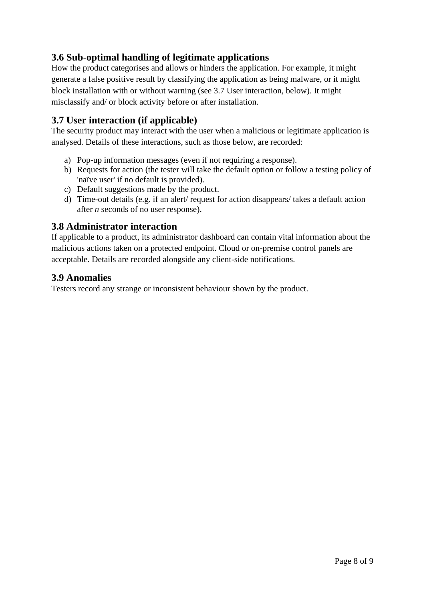# <span id="page-7-0"></span>**3.6 Sub-optimal handling of legitimate applications**

How the product categorises and allows or hinders the application. For example, it might generate a false positive result by classifying the application as being malware, or it might block installation with or without warning (see 3.7 User interaction, below). It might misclassify and/ or block activity before or after installation.

## <span id="page-7-1"></span>**3.7 User interaction (if applicable)**

The security product may interact with the user when a malicious or legitimate application is analysed. Details of these interactions, such as those below, are recorded:

- a) Pop-up information messages (even if not requiring a response).
- b) Requests for action (the tester will take the default option or follow a testing policy of 'naïve user' if no default is provided).
- c) Default suggestions made by the product.
- d) Time-out details (e.g. if an alert/ request for action disappears/ takes a default action after *n* seconds of no user response).

## <span id="page-7-2"></span>**3.8 Administrator interaction**

If applicable to a product, its administrator dashboard can contain vital information about the malicious actions taken on a protected endpoint. Cloud or on-premise control panels are acceptable. Details are recorded alongside any client-side notifications.

## <span id="page-7-3"></span>**3.9 Anomalies**

Testers record any strange or inconsistent behaviour shown by the product.